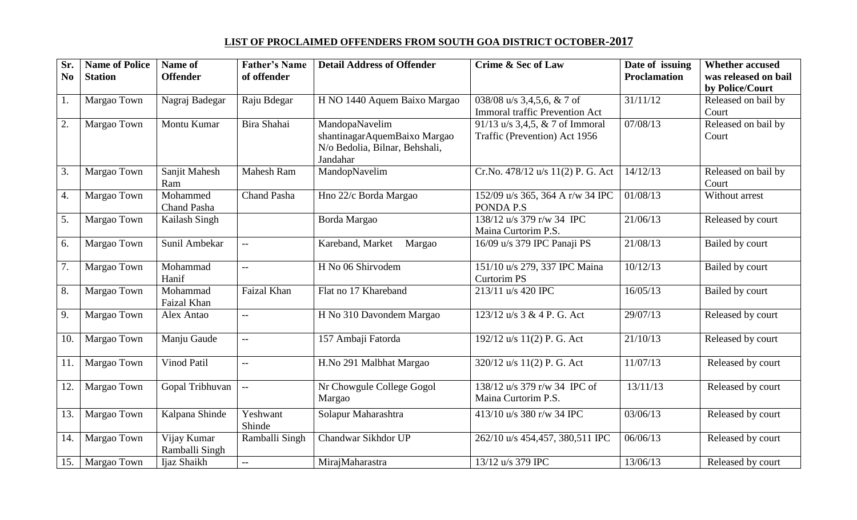## **LIST OF PROCLAIMED OFFENDERS FROM SOUTH GOA DISTRICT OCTOBER-2017**

| Sr.            | <b>Name of Police</b> | Name of<br><b>Offender</b> | <b>Father's Name</b><br>of offender | <b>Detail Address of Offender</b> | Crime & Sec of Law                    | Date of issuing<br>Proclamation | <b>Whether accused</b><br>was released on bail |
|----------------|-----------------------|----------------------------|-------------------------------------|-----------------------------------|---------------------------------------|---------------------------------|------------------------------------------------|
| N <sub>0</sub> | <b>Station</b>        |                            |                                     |                                   |                                       |                                 | by Police/Court                                |
| 1.             | Margao Town           | Nagraj Badegar             | Raju Bdegar                         | H NO 1440 Aquem Baixo Margao      | 038/08 u/s 3,4,5,6, & 7 of            | 31/11/12                        | Released on bail by                            |
|                |                       |                            |                                     |                                   | <b>Immoral traffic Prevention Act</b> |                                 | Court                                          |
| 2.             | Margao Town           | Montu Kumar                | Bira Shahai                         | MandopaNavelim                    | 91/13 u/s 3,4,5, $& 7$ of Immoral     | 07/08/13                        | Released on bail by                            |
|                |                       |                            |                                     | shantinagarAquemBaixo Margao      | Traffic (Prevention) Act 1956         |                                 | Court                                          |
|                |                       |                            |                                     | N/o Bedolia, Bilnar, Behshali,    |                                       |                                 |                                                |
|                |                       |                            |                                     | Jandahar                          |                                       |                                 |                                                |
| 3.             | Margao Town           | Sanjit Mahesh              | <b>Mahesh Ram</b>                   | MandopNavelim                     | Cr.No. 478/12 u/s 11(2) P. G. Act     | 14/12/13                        | Released on bail by                            |
|                |                       | Ram                        |                                     |                                   |                                       |                                 | Court                                          |
| 4.             | Margao Town           | Mohammed                   | Chand Pasha                         | Hno 22/c Borda Margao             | 152/09 u/s 365, 364 A r/w 34 IPC      | 01/08/13                        | Without arrest                                 |
|                |                       | <b>Chand Pasha</b>         |                                     |                                   | PONDA P.S                             |                                 |                                                |
| 5.             | Margao Town           | Kailash Singh              |                                     | Borda Margao                      | 138/12 u/s 379 r/w 34 IPC             | 21/06/13                        | Released by court                              |
|                |                       |                            |                                     |                                   | Maina Curtorim P.S.                   |                                 |                                                |
| 6.             | Margao Town           | Sunil Ambekar              | $\overline{\phantom{a}}$            | Kareband, Market<br>Margao        | 16/09 u/s 379 IPC Panaji PS           | 21/08/13                        | Bailed by court                                |
| 7.             | Margao Town           | Mohammad                   | $-$                                 | H No 06 Shirvodem                 | 151/10 u/s 279, 337 IPC Maina         | 10/12/13                        | Bailed by court                                |
|                |                       | Hanif                      |                                     |                                   | <b>Curtorim PS</b>                    |                                 |                                                |
| 8.             | Margao Town           | Mohammad                   | Faizal Khan                         | Flat no 17 Khareband              | 213/11 u/s 420 IPC                    | 16/05/13                        | Bailed by court                                |
|                |                       | Faizal Khan                |                                     |                                   |                                       |                                 |                                                |
| 9.             | Margao Town           | Alex Antao                 | $\overline{\phantom{m}}$            | H No 310 Davondem Margao          | 123/12 u/s 3 & 4 P. G. Act            | 29/07/13                        | Released by court                              |
|                |                       |                            |                                     |                                   |                                       |                                 |                                                |
| 10.            | Margao Town           | Manju Gaude                | $\overline{\phantom{a}}$            | 157 Ambaji Fatorda                | 192/12 u/s 11(2) P. G. Act            | 21/10/13                        | Released by court                              |
|                |                       |                            |                                     |                                   |                                       |                                 |                                                |
| 11.            | Margao Town           | Vinod Patil                | $-$                                 | H.No 291 Malbhat Margao           | 320/12 u/s 11(2) P. G. Act            | 11/07/13                        | Released by court                              |
|                |                       |                            |                                     |                                   |                                       |                                 |                                                |
| 12.            | Margao Town           | Gopal Tribhuvan            | $\overline{a}$                      | Nr Chowgule College Gogol         | 138/12 u/s 379 r/w 34 IPC of          | 13/11/13                        | Released by court                              |
|                |                       |                            |                                     | Margao                            | Maina Curtorim P.S.                   |                                 |                                                |
| 13.            | Margao Town           | Kalpana Shinde             | Yeshwant                            | Solapur Maharashtra               | 413/10 u/s 380 r/w 34 IPC             | 03/06/13                        | Released by court                              |
|                |                       |                            | Shinde                              |                                   |                                       |                                 |                                                |
| 14.            | Margao Town           | Vijay Kumar                | Ramballi Singh                      | Chandwar Sikhdor UP               | 262/10 u/s 454,457, 380,511 IPC       | 06/06/13                        | Released by court                              |
|                |                       | Ramballi Singh             |                                     |                                   |                                       |                                 |                                                |
| 15.            | Margao Town           | Ijaz Shaikh                | $\overline{a}$                      | MirajMaharastra                   | 13/12 u/s 379 IPC                     | 13/06/13                        | Released by court                              |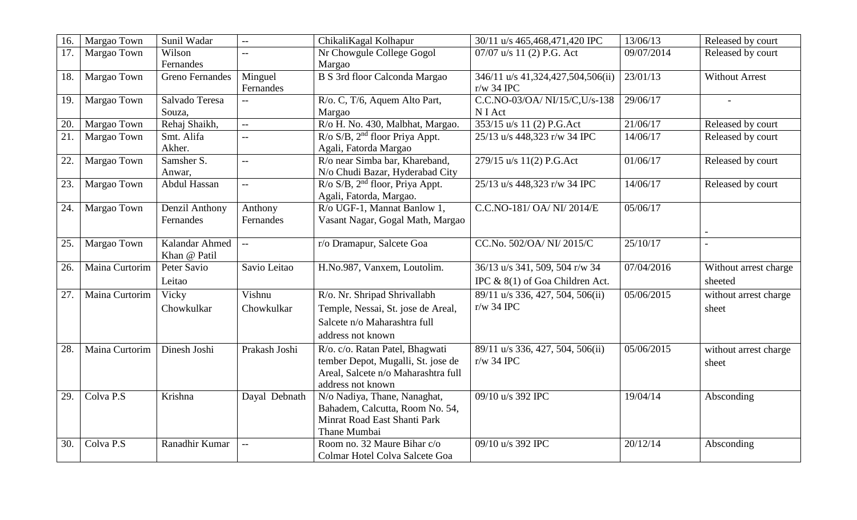| 16. | Margao Town            | Sunil Wadar                    | $\overline{a}$           | ChikaliKagal Kolhapur                                                                                                             | 30/11 u/s 465,468,471,420 IPC                                     | 13/06/13   | Released by court                |
|-----|------------------------|--------------------------------|--------------------------|-----------------------------------------------------------------------------------------------------------------------------------|-------------------------------------------------------------------|------------|----------------------------------|
| 17. | Margao Town            | Wilson<br>Fernandes            | $- -$                    | Nr Chowgule College Gogol<br>Margao                                                                                               | 07/07 u/s 11 (2) P.G. Act                                         | 09/07/2014 | Released by court                |
| 18. | Margao Town            | <b>Greno Fernandes</b>         | Minguel<br>Fernandes     | B S 3rd floor Calconda Margao                                                                                                     | 346/11 u/s 41,324,427,504,506(ii)<br>$r/w$ 34 IPC                 | 23/01/13   | Without Arrest                   |
| 19. | Margao Town            | Salvado Teresa<br>Souza,       | $\overline{a}$           | R/o. C, T/6, Aquem Alto Part,<br>Margao                                                                                           | C.C.NO-03/OA/NI/15/C,U/s-138<br>N I Act                           | 29/06/17   |                                  |
| 20. | Margao Town            | Rehaj Shaikh,                  | $\overline{a}$           | R/o H. No. 430, Malbhat, Margao.                                                                                                  | 353/15 u/s 11 (2) P.G.Act                                         | 21/06/17   | Released by court                |
| 21. | Margao Town            | Smt. Alifa<br>Akher.           | $-$                      | R/o S/B, 2 <sup>nd</sup> floor Priya Appt.<br>Agali, Fatorda Margao                                                               | 25/13 u/s 448,323 r/w 34 IPC                                      | 14/06/17   | Released by court                |
| 22. | Margao Town            | Samsher S.<br>Anwar,           | $-$                      | R/o near Simba bar, Khareband,<br>N/o Chudi Bazar, Hyderabad City                                                                 | 279/15 u/s 11(2) P.G.Act                                          | 01/06/17   | Released by court                |
| 23. | Margao Town            | Abdul Hassan                   | $\overline{a}$           | $R$ /o S/B, $2nd$ floor, Priya Appt.<br>Agali, Fatorda, Margao.                                                                   | 25/13 u/s 448,323 r/w 34 IPC                                      | 14/06/17   | Released by court                |
| 24. | Margao Town            | Denzil Anthony<br>Fernandes    | Anthony<br>Fernandes     | R/o UGF-1, Mannat Banlow 1,<br>Vasant Nagar, Gogal Math, Margao                                                                   | C.C.NO-181/OA/NI/2014/E                                           | 05/06/17   |                                  |
| 25. | Margao Town            | Kalandar Ahmed<br>Khan @ Patil | $\overline{\phantom{a}}$ | r/o Dramapur, Salcete Goa                                                                                                         | CC.No. 502/OA/ NI/2015/C                                          | 25/10/17   |                                  |
| 26. | Maina Curtorim         | Peter Savio<br>Leitao          | Savio Leitao             | H.No.987, Vanxem, Loutolim.                                                                                                       | 36/13 u/s 341, 509, 504 r/w 34<br>IPC & 8(1) of Goa Children Act. | 07/04/2016 | Without arrest charge<br>sheeted |
| 27. | Maina Curtorim         | Vicky<br>Chowkulkar            | Vishnu<br>Chowkulkar     | R/o. Nr. Shripad Shrivallabh<br>Temple, Nessai, St. jose de Areal,<br>Salcete n/o Maharashtra full<br>address not known           | 89/11 u/s 336, 427, 504, 506(ii)<br>$r/w$ 34 IPC                  | 05/06/2015 | without arrest charge<br>sheet   |
| 28. | Maina Curtorim         | Dinesh Joshi                   | Prakash Joshi            | R/o. c/o. Ratan Patel, Bhagwati<br>tember Depot, Mugalli, St. jose de<br>Areal, Salcete n/o Maharashtra full<br>address not known | 89/11 u/s 336, 427, 504, 506(ii)<br>$r/w$ 34 IPC                  | 05/06/2015 | without arrest charge<br>sheet   |
| 29. | Colva $\overline{P.S}$ | Krishna                        | Dayal Debnath            | N/o Nadiya, Thane, Nanaghat,<br>Bahadem, Calcutta, Room No. 54,<br>Minrat Road East Shanti Park<br>Thane Mumbai                   | 09/10 u/s 392 IPC                                                 | 19/04/14   | Absconding                       |
| 30. | Colva <sub>P.S</sub>   | Ranadhir Kumar                 | $-$                      | Room no. 32 Maure Bihar c/o<br>Colmar Hotel Colva Salcete Goa                                                                     | 09/10 u/s 392 IPC                                                 | 20/12/14   | Absconding                       |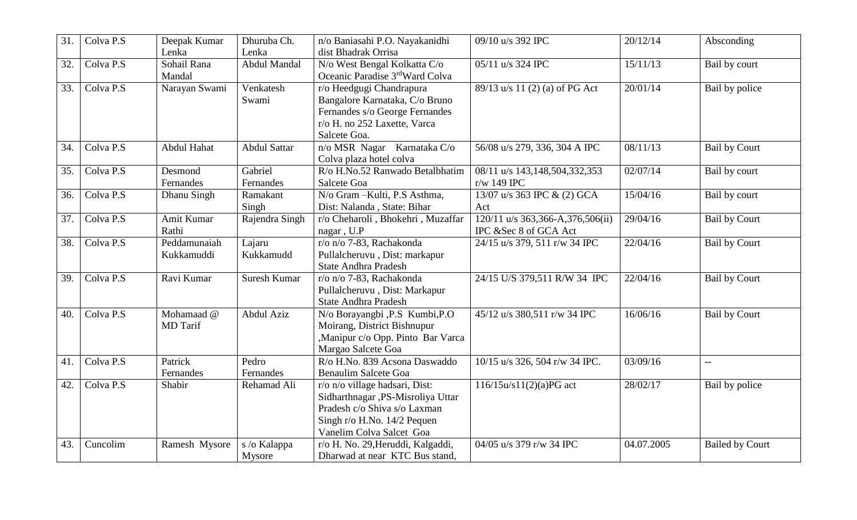| 31. | Colva P.S              | Deepak Kumar    | Dhuruba Ch.         | n/o Baniasahi P.O. Nayakanidhi    | 09/10 u/s 392 IPC                | 20/12/14   | Absconding             |
|-----|------------------------|-----------------|---------------------|-----------------------------------|----------------------------------|------------|------------------------|
|     |                        | Lenka           | Lenka               | dist Bhadrak Orrisa               |                                  |            |                        |
| 32. | Colva P.S              | Sohail Rana     | Abdul Mandal        | N/o West Bengal Kolkatta C/o      | 05/11 u/s 324 IPC                | 15/11/13   | Bail by court          |
|     |                        | Mandal          |                     | Oceanic Paradise 3rdWard Colva    |                                  |            |                        |
| 33. | Colva $\overline{P.S}$ | Narayan Swami   | Venkatesh           | r/o Heedgugi Chandrapura          | 89/13 u/s 11 (2) (a) of PG Act   | 20/01/14   | Bail by police         |
|     |                        |                 | Swami               | Bangalore Karnataka, C/o Bruno    |                                  |            |                        |
|     |                        |                 |                     | Fernandes s/o George Fernandes    |                                  |            |                        |
|     |                        |                 |                     | r/o H. no 252 Laxette, Varca      |                                  |            |                        |
|     |                        |                 |                     | Salcete Goa.                      |                                  |            |                        |
| 34. | Colva P.S              | Abdul Hahat     | <b>Abdul Sattar</b> | n/o MSR Nagar Karnataka C/o       | 56/08 u/s 279, 336, 304 A IPC    | 08/11/13   | <b>Bail by Court</b>   |
|     |                        |                 |                     | Colva plaza hotel colva           |                                  |            |                        |
| 35. | Colva P.S              | Desmond         | Gabriel             | R/o H.No.52 Ranwado Betalbhatim   | 08/11 u/s 143,148,504,332,353    | 02/07/14   | Bail by court          |
|     |                        | Fernandes       | Fernandes           | Salcete Goa                       | r/w 149 IPC                      |            |                        |
| 36. | Colva P.S              | Dhanu Singh     | Ramakant            | N/o Gram - Kulti, P.S Asthma,     | 13/07 u/s 363 IPC & (2) GCA      | 15/04/16   | Bail by court          |
|     |                        |                 | Singh               | Dist: Nalanda, State: Bihar       | Act                              |            |                        |
| 37. | Colva $P.\overline{S}$ | Amit Kumar      | Rajendra Singh      | r/o Cheharoli, Bhokehri, Muzaffar | 120/11 u/s 363,366-A,376,506(ii) | 29/04/16   | <b>Bail by Court</b>   |
|     |                        | Rathi           |                     | nagar, U.P                        | IPC &Sec 8 of GCA Act            |            |                        |
| 38. | Colva P.S              | Peddamunaiah    | Lajaru              | r/o n/o 7-83, Rachakonda          | 24/15 u/s 379, 511 r/w 34 IPC    | 22/04/16   | <b>Bail by Court</b>   |
|     |                        | Kukkamuddi      | Kukkamudd           | Pullalcheruvu, Dist: markapur     |                                  |            |                        |
|     |                        |                 |                     | <b>State Andhra Pradesh</b>       |                                  |            |                        |
| 39. | Colva $\overline{P.S}$ | Ravi Kumar      | Suresh Kumar        | r/o n/o 7-83, Rachakonda          | 24/15 U/S 379,511 R/W 34 IPC     | 22/04/16   | <b>Bail by Court</b>   |
|     |                        |                 |                     | Pullalcheruvu, Dist: Markapur     |                                  |            |                        |
|     |                        |                 |                     | <b>State Andhra Pradesh</b>       |                                  |            |                        |
| 40. | Colva P.S              | Mohamaad @      | Abdul Aziz          | N/o Borayangbi ,P.S Kumbi,P.O     | 45/12 u/s 380,511 r/w 34 IPC     | 16/06/16   | <b>Bail by Court</b>   |
|     |                        | <b>MD</b> Tarif |                     | Moirang, District Bishnupur       |                                  |            |                        |
|     |                        |                 |                     | ,Manipur c/o Opp. Pinto Bar Varca |                                  |            |                        |
|     |                        |                 |                     | Margao Salcete Goa                |                                  |            |                        |
| 41. | Colva P.S              | Patrick         | Pedro               | R/o H.No. 839 Acsona Daswaddo     | 10/15 u/s 326, 504 r/w 34 IPC.   | 03/09/16   | $\overline{a}$         |
|     |                        | Fernandes       | Fernandes           | <b>Benaulim Salcete Goa</b>       |                                  |            |                        |
| 42. | Colva $\overline{P.S}$ | Shabir          | Rehamad Ali         | r/o n/o village hadsari, Dist:    | 116/15u/s11(2)(a)PG act          | 28/02/17   | Bail by police         |
|     |                        |                 |                     | Sidharthnagar ,PS-Misroliya Uttar |                                  |            |                        |
|     |                        |                 |                     | Pradesh c/o Shiva s/o Laxman      |                                  |            |                        |
|     |                        |                 |                     | Singh r/o H.No. 14/2 Pequen       |                                  |            |                        |
|     |                        |                 |                     | Vanelim Colva Salcet Goa          |                                  |            |                        |
| 43. | Cuncolim               | Ramesh Mysore   | s /o Kalappa        | r/o H. No. 29, Heruddi, Kalgaddi, | 04/05 u/s 379 r/w 34 IPC         | 04.07.2005 | <b>Bailed by Court</b> |
|     |                        |                 | Mysore              | Dharwad at near KTC Bus stand,    |                                  |            |                        |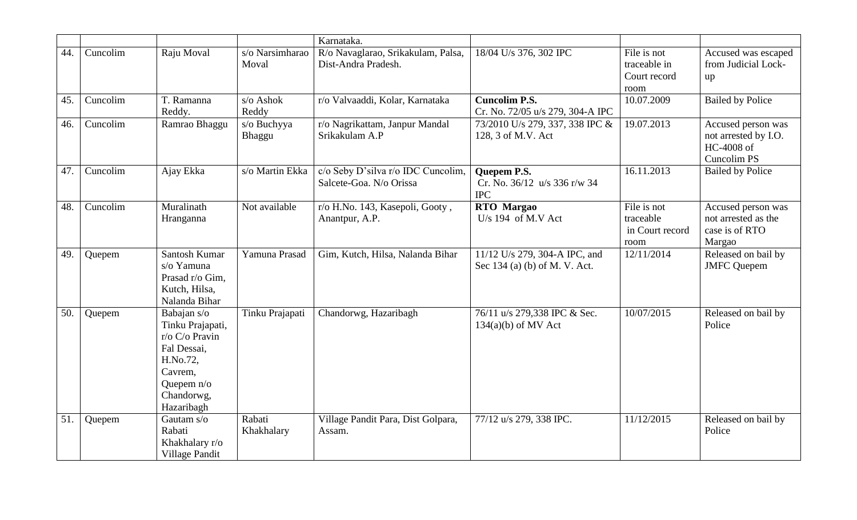|     |          |                                                                                                                                   |                          | Karnataka.                                                    |                                                                  |                                                     |                                                                                |
|-----|----------|-----------------------------------------------------------------------------------------------------------------------------------|--------------------------|---------------------------------------------------------------|------------------------------------------------------------------|-----------------------------------------------------|--------------------------------------------------------------------------------|
| 44. | Cuncolim | Raju Moval                                                                                                                        | s/o Narsimharao<br>Moval | R/o Navaglarao, Srikakulam, Palsa,<br>Dist-Andra Pradesh.     | 18/04 U/s 376, 302 IPC                                           | File is not<br>traceable in<br>Court record<br>room | Accused was escaped<br>from Judicial Lock-<br>up                               |
| 45. | Cuncolim | T. Ramanna<br>Reddy.                                                                                                              | s/o Ashok<br>Reddy       | r/o Valvaaddi, Kolar, Karnataka                               | <b>Cuncolim P.S.</b><br>Cr. No. 72/05 u/s 279, 304-A IPC         | 10.07.2009                                          | <b>Bailed by Police</b>                                                        |
| 46. | Cuncolim | Ramrao Bhaggu                                                                                                                     | s/o Buchyya<br>Bhaggu    | r/o Nagrikattam, Janpur Mandal<br>Srikakulam A.P              | 73/2010 U/s 279, 337, 338 IPC &<br>128, 3 of M.V. Act            | 19.07.2013                                          | Accused person was<br>not arrested by I.O.<br>HC-4008 of<br><b>Cuncolim PS</b> |
| 47. | Cuncolim | Ajay Ekka                                                                                                                         | s/o Martin Ekka          | c/o Seby D'silva r/o IDC Cuncolim,<br>Salcete-Goa. N/o Orissa | <b>Ouepem P.S.</b><br>Cr. No. 36/12 u/s 336 r/w 34<br><b>IPC</b> | 16.11.2013                                          | <b>Bailed by Police</b>                                                        |
| 48. | Cuncolim | Muralinath<br>Hranganna                                                                                                           | Not available            | r/o H.No. 143, Kasepoli, Gooty,<br>Anantpur, A.P.             | <b>RTO</b> Margao<br>U/s 194 of M.V Act                          | File is not<br>traceable<br>in Court record<br>room | Accused person was<br>not arrested as the<br>case is of RTO<br>Margao          |
| 49. | Quepem   | Santosh Kumar<br>s/o Yamuna<br>Prasad r/o Gim,<br>Kutch, Hilsa,<br>Nalanda Bihar                                                  | Yamuna Prasad            | Gim, Kutch, Hilsa, Nalanda Bihar                              | 11/12 U/s 279, 304-A IPC, and<br>Sec 134 (a) (b) of M. V. Act.   | 12/11/2014                                          | Released on bail by<br><b>JMFC</b> Quepem                                      |
| 50. | Quepem   | Babajan s/o<br>Tinku Prajapati,<br>r/o C/o Pravin<br>Fal Dessai,<br>H.No.72,<br>Cavrem,<br>Quepem n/o<br>Chandorwg,<br>Hazaribagh | Tinku Prajapati          | Chandorwg, Hazaribagh                                         | 76/11 u/s 279,338 IPC & Sec.<br>$134(a)(b)$ of MV Act            | 10/07/2015                                          | Released on bail by<br>Police                                                  |
| 51. | Quepem   | Gautam s/o<br>Rabati<br>Khakhalary r/o<br>Village Pandit                                                                          | Rabati<br>Khakhalary     | Village Pandit Para, Dist Golpara,<br>Assam.                  | 77/12 u/s 279, 338 IPC.                                          | 11/12/2015                                          | Released on bail by<br>Police                                                  |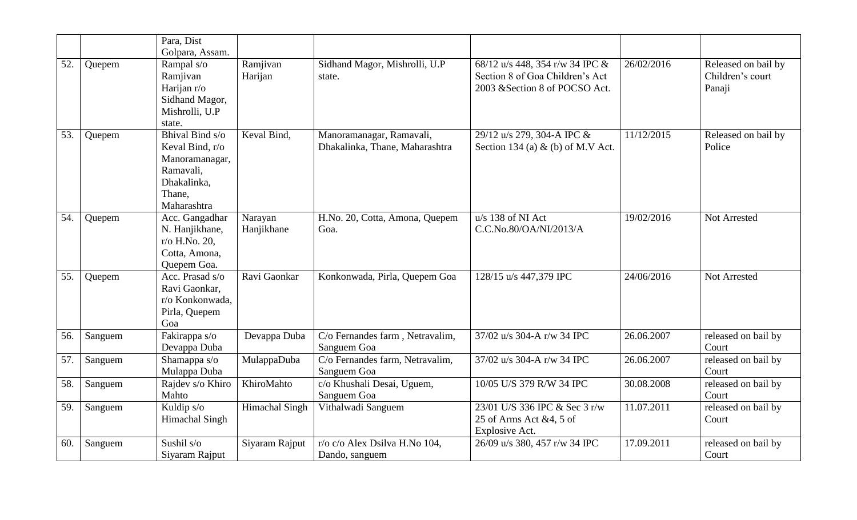|     |         | Para, Dist                                                                                                |                       |                                                            |                                                                                                      |            |                                                   |
|-----|---------|-----------------------------------------------------------------------------------------------------------|-----------------------|------------------------------------------------------------|------------------------------------------------------------------------------------------------------|------------|---------------------------------------------------|
|     |         | Golpara, Assam.                                                                                           |                       |                                                            |                                                                                                      |            |                                                   |
| 52. | Quepem  | Rampal s/o<br>Ramjivan<br>Harijan r/o<br>Sidhand Magor,<br>Mishrolli, U.P<br>state.                       | Ramjivan<br>Harijan   | Sidhand Magor, Mishrolli, U.P<br>state.                    | 68/12 u/s 448, 354 r/w 34 IPC &<br>Section 8 of Goa Children's Act<br>2003 & Section 8 of POCSO Act. | 26/02/2016 | Released on bail by<br>Children's court<br>Panaji |
| 53. | Quepem  | Bhival Bind s/o<br>Keval Bind, r/o<br>Manoramanagar,<br>Ramavali,<br>Dhakalinka,<br>Thane,<br>Maharashtra | Keval Bind,           | Manoramanagar, Ramavali,<br>Dhakalinka, Thane, Maharashtra | 29/12 u/s 279, 304-A IPC &<br>Section 134 (a) $\&$ (b) of M.V Act.                                   | 11/12/2015 | Released on bail by<br>Police                     |
| 54. | Quepem  | Acc. Gangadhar<br>N. Hanjikhane,<br>r/o H.No. 20,<br>Cotta, Amona,<br>Quepem Goa.                         | Narayan<br>Hanjikhane | H.No. 20, Cotta, Amona, Quepem<br>Goa.                     | $u/s$ 138 of NI Act<br>C.C.No.80/OA/NI/2013/A                                                        | 19/02/2016 | Not Arrested                                      |
| 55. | Quepem  | Acc. Prasad s/o<br>Ravi Gaonkar,<br>r/o Konkonwada,<br>Pirla, Quepem<br>Goa                               | Ravi Gaonkar          | Konkonwada, Pirla, Quepem Goa                              | 128/15 u/s 447,379 IPC                                                                               | 24/06/2016 | <b>Not Arrested</b>                               |
| 56. | Sanguem | Fakirappa s/o<br>Devappa Duba                                                                             | Devappa Duba          | C/o Fernandes farm, Netravalim,<br>Sanguem Goa             | 37/02 u/s 304-A r/w 34 IPC                                                                           | 26.06.2007 | released on bail by<br>Court                      |
| 57. | Sanguem | Shamappa s/o<br>Mulappa Duba                                                                              | MulappaDuba           | C/o Fernandes farm, Netravalim,<br>Sanguem Goa             | 37/02 u/s 304-A r/w 34 IPC                                                                           | 26.06.2007 | released on bail by<br>Court                      |
| 58. | Sanguem | Rajdev s/o Khiro<br>Mahto                                                                                 | KhiroMahto            | c/o Khushali Desai, Uguem,<br>Sanguem Goa                  | 10/05 U/S 379 R/W 34 IPC                                                                             | 30.08.2008 | released on bail by<br>Court                      |
| 59. | Sanguem | Kuldip s/o<br><b>Himachal Singh</b>                                                                       | Himachal Singh        | Vithalwadi Sanguem                                         | 23/01 U/S 336 IPC & Sec 3 r/w<br>25 of Arms Act &4, 5 of<br>Explosive Act.                           | 11.07.2011 | released on bail by<br>Court                      |
| 60. | Sanguem | Sushil s/o<br>Siyaram Rajput                                                                              | Siyaram Rajput        | r/o c/o Alex Dsilva H.No 104,<br>Dando, sanguem            | 26/09 u/s 380, 457 r/w 34 IPC                                                                        | 17.09.2011 | released on bail by<br>Court                      |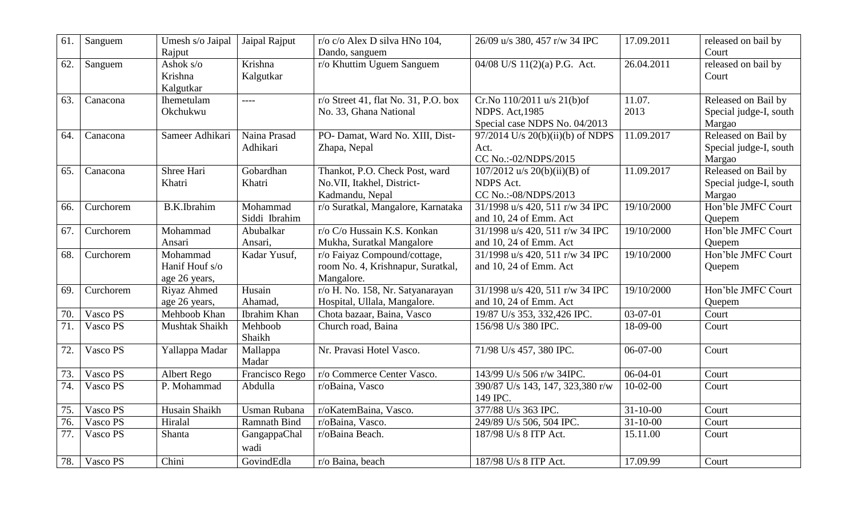| 61. | Sanguem   | Umesh s/o Jaipal<br>Rajput                  | Jaipal Rajput             | r/o c/o Alex D silva HNo 104,<br>Dando, sanguem                                 | 26/09 u/s 380, 457 r/w 34 IPC                                                         | 17.09.2011     | released on bail by<br>Court                            |
|-----|-----------|---------------------------------------------|---------------------------|---------------------------------------------------------------------------------|---------------------------------------------------------------------------------------|----------------|---------------------------------------------------------|
| 62. | Sanguem   | Ashok $s$ / $o$<br>Krishna<br>Kalgutkar     | Krishna<br>Kalgutkar      | r/o Khuttim Uguem Sanguem                                                       | 04/08 U/S 11(2)(a) P.G. Act.                                                          | 26.04.2011     | released on bail by<br>Court                            |
| 63. | Canacona  | Ihemetulam<br>Okchukwu                      | $\frac{1}{2}$             | $r$ /o Street 41, flat No. 31, P.O. box<br>No. 33, Ghana National               | Cr.No 110/2011 u/s 21(b)of<br><b>NDPS. Act, 1985</b><br>Special case NDPS No. 04/2013 | 11.07.<br>2013 | Released on Bail by<br>Special judge-I, south<br>Margao |
| 64. | Canacona  | Sameer Adhikari                             | Naina Prasad<br>Adhikari  | PO- Damat, Ward No. XIII, Dist-<br>Zhapa, Nepal                                 | 97/2014 U/s 20(b)(ii)(b) of NDPS<br>Act.<br>CC No.:-02/NDPS/2015                      | 11.09.2017     | Released on Bail by<br>Special judge-I, south<br>Margao |
| 65. | Canacona  | Shree Hari<br>Khatri                        | Gobardhan<br>Khatri       | Thankot, P.O. Check Post, ward<br>No.VII, Itakhel, District-<br>Kadmandu, Nepal | $107/2012$ u/s $20(b)(ii)(B)$ of<br><b>NDPS</b> Act.<br>CC No.:-08/NDPS/2013          | 11.09.2017     | Released on Bail by<br>Special judge-I, south<br>Margao |
| 66. | Curchorem | <b>B.K.Ibrahim</b>                          | Mohammad<br>Siddi Ibrahim | r/o Suratkal, Mangalore, Karnataka                                              | 31/1998 u/s 420, 511 r/w 34 IPC<br>and 10, 24 of Emm. Act                             | 19/10/2000     | Hon'ble JMFC Court<br>Quepem                            |
| 67. | Curchorem | Mohammad<br>Ansari                          | Abubalkar<br>Ansari,      | r/o C/o Hussain K.S. Konkan<br>Mukha, Suratkal Mangalore                        | 31/1998 u/s 420, 511 r/w 34 IPC<br>and 10, 24 of Emm. Act                             | 19/10/2000     | Hon'ble JMFC Court<br>Quepem                            |
| 68. | Curchorem | Mohammad<br>Hanif Houf s/o<br>age 26 years, | Kadar Yusuf,              | r/o Faiyaz Compound/cottage,<br>room No. 4, Krishnapur, Suratkal,<br>Mangalore. | 31/1998 u/s 420, 511 r/w 34 IPC<br>and 10, 24 of Emm. Act                             | 19/10/2000     | Hon'ble JMFC Court<br>Quepem                            |
| 69. | Curchorem | Riyaz Ahmed<br>age 26 years,                | Husain<br>Ahamad,         | r/o H. No. 158, Nr. Satyanarayan<br>Hospital, Ullala, Mangalore.                | 31/1998 u/s 420, 511 r/w 34 IPC<br>and 10, 24 of Emm. Act                             | 19/10/2000     | Hon'ble JMFC Court<br>Quepem                            |
| 70. | Vasco PS  | Mehboob Khan                                | Ibrahim Khan              | Chota bazaar, Baina, Vasco                                                      | 19/87 U/s 353, 332,426 IPC.                                                           | 03-07-01       | Court                                                   |
| 71. | Vasco PS  | Mushtak Shaikh                              | Mehboob<br>Shaikh         | Church road, Baina                                                              | 156/98 U/s 380 IPC.                                                                   | 18-09-00       | Court                                                   |
| 72. | Vasco PS  | Yallappa Madar                              | Mallappa<br>Madar         | Nr. Pravasi Hotel Vasco.                                                        | 71/98 U/s 457, 380 IPC.                                                               | $06-07-00$     | Court                                                   |
| 73. | Vasco PS  | Albert Rego                                 | Francisco Rego            | r/o Commerce Center Vasco.                                                      | 143/99 U/s 506 r/w 34IPC.                                                             | $06-04-01$     | Court                                                   |
| 74. | Vasco PS  | P. Mohammad                                 | Abdulla                   | r/oBaina, Vasco                                                                 | 390/87 U/s 143, 147, 323,380 r/w<br>149 IPC.                                          | $10-02-00$     | Court                                                   |
| 75. | Vasco PS  | Husain Shaikh                               | <b>Usman Rubana</b>       | r/oKatemBaina, Vasco.                                                           | 377/88 U/s 363 IPC.                                                                   | $31 - 10 - 00$ | Court                                                   |
| 76. | Vasco PS  | Hiralal                                     | <b>Ramnath Bind</b>       | r/oBaina, Vasco.                                                                | 249/89 U/s 506, 504 IPC.                                                              | $31 - 10 - 00$ | Court                                                   |
| 77. | Vasco PS  | Shanta                                      | GangappaChal<br>wadi      | r/oBaina Beach.                                                                 | 187/98 U/s 8 ITP Act.                                                                 | 15.11.00       | Court                                                   |
| 78. | Vasco PS  | Chini                                       | GovindEdla                | r/o Baina, beach                                                                | 187/98 U/s 8 ITP Act.                                                                 | 17.09.99       | Court                                                   |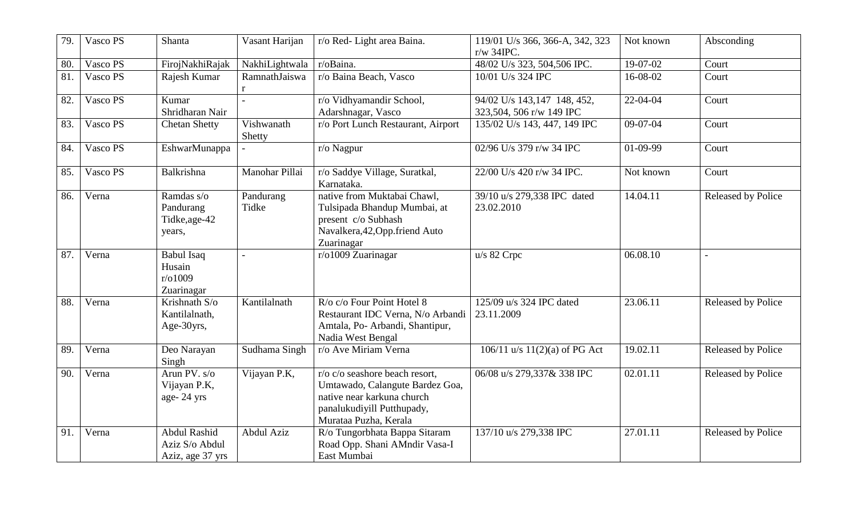| 79. | Vasco PS | <b>Shanta</b>                                             | Vasant Harijan       | r/o Red-Light area Baina.                                                                                                                              | 119/01 U/s 366, 366-A, 342, 323<br>$r/w$ 34IPC.         | Not known  | Absconding                |
|-----|----------|-----------------------------------------------------------|----------------------|--------------------------------------------------------------------------------------------------------------------------------------------------------|---------------------------------------------------------|------------|---------------------------|
| 80. | Vasco PS | FirojNakhiRajak                                           | NakhiLightwala       | r/oBaina.                                                                                                                                              | 48/02 U/s 323, 504,506 IPC.                             | 19-07-02   | Court                     |
| 81. | Vasco PS | Rajesh Kumar                                              | RamnathJaiswa<br>r   | r/o Baina Beach, Vasco                                                                                                                                 | 10/01 U/s 324 IPC                                       | 16-08-02   | Court                     |
| 82. | Vasco PS | Kumar<br>Shridharan Nair                                  |                      | r/o Vidhyamandir School,<br>Adarshnagar, Vasco                                                                                                         | 94/02 U/s 143,147 148, 452,<br>323,504, 506 r/w 149 IPC | 22-04-04   | Court                     |
| 83. | Vasco PS | <b>Chetan Shetty</b>                                      | Vishwanath<br>Shetty | r/o Port Lunch Restaurant, Airport                                                                                                                     | 135/02 U/s 143, 447, 149 IPC                            | $09-07-04$ | Court                     |
| 84. | Vasco PS | EshwarMunappa                                             |                      | r/o Nagpur                                                                                                                                             | 02/96 U/s 379 r/w 34 IPC                                | 01-09-99   | Court                     |
| 85. | Vasco PS | <b>Balkrishna</b>                                         | Manohar Pillai       | r/o Saddye Village, Suratkal,<br>Karnataka.                                                                                                            | 22/00 U/s 420 r/w 34 IPC.                               | Not known  | Court                     |
| 86. | Verna    | Ramdas s/o<br>Pandurang<br>Tidke, age-42<br>years,        | Pandurang<br>Tidke   | native from Muktabai Chawl,<br>Tulsipada Bhandup Mumbai, at<br>present c/o Subhash<br>Navalkera, 42, Opp. friend Auto<br>Zuarinagar                    | 39/10 u/s 279,338 IPC dated<br>23.02.2010               | 14.04.11   | <b>Released by Police</b> |
| 87. | Verna    | <b>Babul Isaq</b><br>Husain<br>r/01009<br>Zuarinagar      |                      | r/o1009 Zuarinagar                                                                                                                                     | u/s 82 Crpc                                             | 06.08.10   | $\sim$                    |
| 88. | Verna    | Krishnath S/o<br>Kantilalnath,<br>Age-30yrs,              | Kantilalnath         | R/o c/o Four Point Hotel 8<br>Restaurant IDC Verna, N/o Arbandi<br>Amtala, Po- Arbandi, Shantipur,<br>Nadia West Bengal                                | 125/09 u/s 324 IPC dated<br>23.11.2009                  | 23.06.11   | <b>Released by Police</b> |
| 89. | Verna    | Deo Narayan<br>Singh                                      | Sudhama Singh        | r/o Ave Miriam Verna                                                                                                                                   | 106/11 u/s $11(2)(a)$ of PG Act                         | 19.02.11   | <b>Released by Police</b> |
| 90. | Verna    | Arun PV. s/o<br>Vijayan P.K,<br>age-24 yrs                | Vijayan P.K,         | r/o c/o seashore beach resort.<br>Umtawado, Calangute Bardez Goa,<br>native near karkuna church<br>panalukudiyill Putthupady,<br>Murataa Puzha, Kerala | 06/08 u/s 279,337& 338 IPC                              | 02.01.11   | <b>Released by Police</b> |
| 91. | Verna    | <b>Abdul Rashid</b><br>Aziz S/o Abdul<br>Aziz, age 37 yrs | Abdul Aziz           | R/o Tungorbhata Bappa Sitaram<br>Road Opp. Shani AMndir Vasa-I<br>East Mumbai                                                                          | 137/10 u/s 279,338 IPC                                  | 27.01.11   | Released by Police        |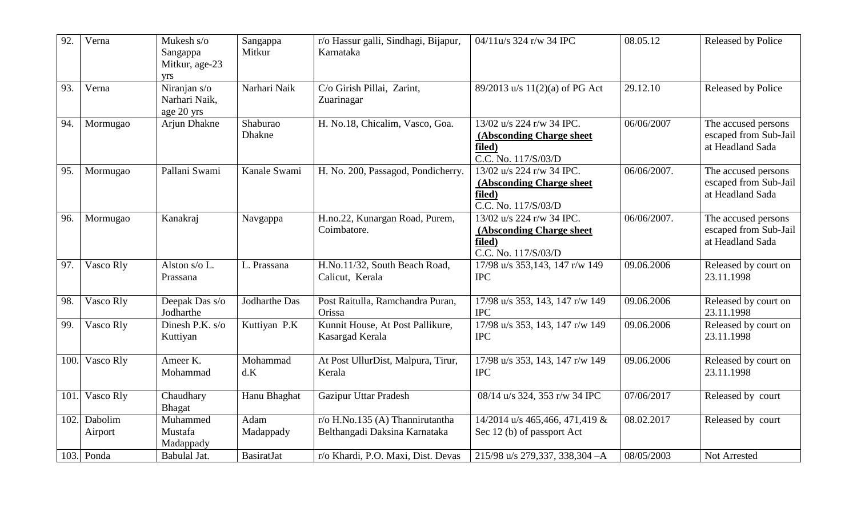| 92.  | Verna              | Mukesh s/o<br>Sangappa<br>Mitkur, age-23<br>yrs | Sangappa<br>Mitkur | r/o Hassur galli, Sindhagi, Bijapur,<br>Karnataka                   | 04/11u/s 324 r/w 34 IPC                                                                | 08.05.12    | <b>Released by Police</b>                                        |
|------|--------------------|-------------------------------------------------|--------------------|---------------------------------------------------------------------|----------------------------------------------------------------------------------------|-------------|------------------------------------------------------------------|
| 93.  | Verna              | Niranjan s/o<br>Narhari Naik,<br>age 20 yrs     | Narhari Naik       | C/o Girish Pillai, Zarint,<br>Zuarinagar                            | 89/2013 u/s 11(2)(a) of PG Act                                                         | 29.12.10    | <b>Released by Police</b>                                        |
| 94.  | Mormugao           | Arjun Dhakne                                    | Shaburao<br>Dhakne | H. No.18, Chicalim, Vasco, Goa.                                     | 13/02 u/s 224 r/w 34 IPC.<br>(Absconding Charge sheet<br>filed)<br>C.C. No. 117/S/03/D | 06/06/2007  | The accused persons<br>escaped from Sub-Jail<br>at Headland Sada |
| 95.  | Mormugao           | Pallani Swami                                   | Kanale Swami       | H. No. 200, Passagod, Pondicherry.                                  | 13/02 u/s 224 r/w 34 IPC.<br>(Absconding Charge sheet<br>filed)<br>C.C. No. 117/S/03/D | 06/06/2007. | The accused persons<br>escaped from Sub-Jail<br>at Headland Sada |
| 96.  | Mormugao           | Kanakraj                                        | Navgappa           | H.no.22, Kunargan Road, Purem,<br>Coimbatore.                       | 13/02 u/s 224 r/w 34 IPC.<br>(Absconding Charge sheet<br>filed)<br>C.C. No. 117/S/03/D | 06/06/2007. | The accused persons<br>escaped from Sub-Jail<br>at Headland Sada |
| 97.  | Vasco Rly          | Alston s/o L.<br>Prassana                       | L. Prassana        | H.No.11/32, South Beach Road,<br>Calicut, Kerala                    | 17/98 u/s 353,143, 147 r/w 149<br><b>IPC</b>                                           | 09.06.2006  | Released by court on<br>23.11.1998                               |
| 98.  | Vasco Rly          | Deepak Das s/o<br>Jodharthe                     | Jodharthe Das      | Post Raitulla, Ramchandra Puran,<br>Orissa                          | 17/98 u/s 353, 143, 147 r/w 149<br><b>IPC</b>                                          | 09.06.2006  | Released by court on<br>23.11.1998                               |
| 99.  | Vasco Rly          | Dinesh P.K. s/o<br>Kuttiyan                     | Kuttiyan P.K       | Kunnit House, At Post Pallikure,<br>Kasargad Kerala                 | 17/98 u/s 353, 143, 147 r/w 149<br><b>IPC</b>                                          | 09.06.2006  | Released by court on<br>23.11.1998                               |
| 100  | Vasco Rly          | Ameer K.<br>Mohammad                            | Mohammad<br>d.K    | At Post UllurDist, Malpura, Tirur,<br>Kerala                        | 17/98 u/s 353, 143, 147 r/w 149<br><b>IPC</b>                                          | 09.06.2006  | Released by court on<br>23.11.1998                               |
| 101  | Vasco Rly          | Chaudhary<br><b>Bhagat</b>                      | Hanu Bhaghat       | <b>Gazipur Uttar Pradesh</b>                                        | 08/14 u/s 324, 353 r/w 34 IPC                                                          | 07/06/2017  | Released by court                                                |
| 102. | Dabolim<br>Airport | Muhammed<br>Mustafa<br>Madappady                | Adam<br>Madappady  | $r$ /o H.No.135 (A) Thannirutantha<br>Belthangadi Daksina Karnataka | 14/2014 u/s 465,466, 471,419 &<br>Sec 12 (b) of passport Act                           | 08.02.2017  | Released by court                                                |
|      | 103. Ponda         | Babulal Jat.                                    | <b>BasiratJat</b>  | r/o Khardi, P.O. Maxi, Dist. Devas                                  | 215/98 u/s 279,337, 338,304 - A                                                        | 08/05/2003  | Not Arrested                                                     |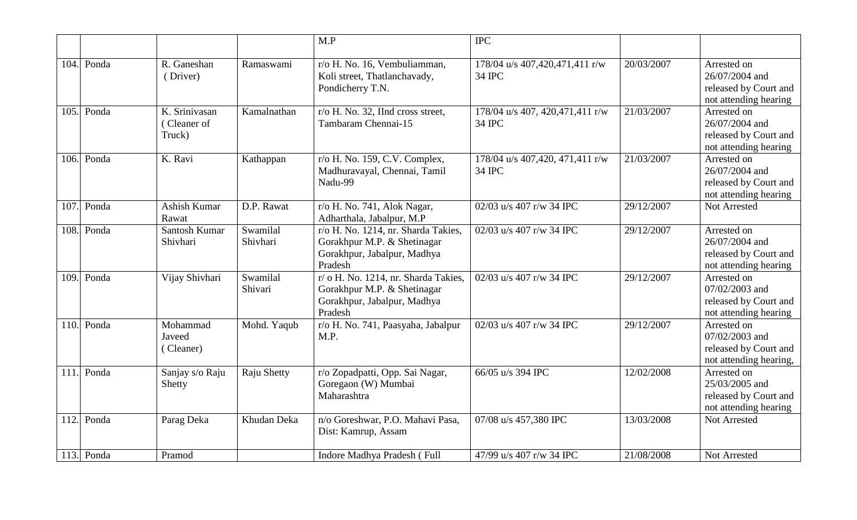|      |            |                                        |                      | $\overline{MP}$                                                                                               | $\overline{IPC}$                          |            |                                                                                  |
|------|------------|----------------------------------------|----------------------|---------------------------------------------------------------------------------------------------------------|-------------------------------------------|------------|----------------------------------------------------------------------------------|
| 104. | Ponda      | R. Ganeshan<br>(Driver)                | Ramaswami            | r/o H. No. 16, Vembuliamman,<br>Koli street, Thatlanchavady,<br>Pondicherry T.N.                              | 178/04 u/s 407,420,471,411 r/w<br>34 IPC  | 20/03/2007 | Arrested on<br>26/07/2004 and<br>released by Court and<br>not attending hearing  |
| 105. | Ponda      | K. Srinivasan<br>(Cleaner of<br>Truck) | Kamalnathan          | $r$ /o H. No. 32, IInd cross street,<br>Tambaram Chennai-15                                                   | 178/04 u/s 407, 420,471,411 r/w<br>34 IPC | 21/03/2007 | Arrested on<br>26/07/2004 and<br>released by Court and<br>not attending hearing  |
| 106. | Ponda      | K. Ravi                                | Kathappan            | r/o H. No. 159, C.V. Complex,<br>Madhuravayal, Chennai, Tamil<br>Nadu-99                                      | 178/04 u/s 407,420, 471,411 r/w<br>34 IPC | 21/03/2007 | Arrested on<br>26/07/2004 and<br>released by Court and<br>not attending hearing  |
| 107  | Ponda      | Ashish Kumar<br>Rawat                  | D.P. Rawat           | r/o H. No. 741, Alok Nagar,<br>Adharthala, Jabalpur, M.P                                                      | 02/03 u/s 407 r/w 34 IPC                  | 29/12/2007 | Not Arrested                                                                     |
| 108. | Ponda      | Santosh Kumar<br>Shivhari              | Swamilal<br>Shivhari | r/o H. No. 1214, nr. Sharda Takies,<br>Gorakhpur M.P. & Shetinagar<br>Gorakhpur, Jabalpur, Madhya<br>Pradesh  | 02/03 u/s 407 r/w 34 IPC                  | 29/12/2007 | Arrested on<br>26/07/2004 and<br>released by Court and<br>not attending hearing  |
| 109  | Ponda      | Vijay Shivhari                         | Swamilal<br>Shivari  | r/ o H. No. 1214, nr. Sharda Takies,<br>Gorakhpur M.P. & Shetinagar<br>Gorakhpur, Jabalpur, Madhya<br>Pradesh | 02/03 u/s 407 r/w 34 IPC                  | 29/12/2007 | Arrested on<br>07/02/2003 and<br>released by Court and<br>not attending hearing  |
| 110. | Ponda      | Mohammad<br>Javeed<br>(Cleaner)        | Mohd. Yaqub          | r/o H. No. 741, Paasyaha, Jabalpur<br>M.P.                                                                    | 02/03 u/s 407 r/w 34 IPC                  | 29/12/2007 | Arrested on<br>07/02/2003 and<br>released by Court and<br>not attending hearing, |
| 111  | Ponda      | Sanjay s/o Raju<br>Shetty              | Raju Shetty          | r/o Zopadpatti, Opp. Sai Nagar,<br>Goregaon (W) Mumbai<br>Maharashtra                                         | 66/05 u/s 394 IPC                         | 12/02/2008 | Arrested on<br>25/03/2005 and<br>released by Court and<br>not attending hearing  |
| 112. | Ponda      | Parag Deka                             | Khudan Deka          | n/o Goreshwar, P.O. Mahavi Pasa,<br>Dist: Kamrup, Assam                                                       | 07/08 u/s 457,380 IPC                     | 13/03/2008 | Not Arrested                                                                     |
|      | 113. Ponda | Pramod                                 |                      | Indore Madhya Pradesh (Full                                                                                   | 47/99 u/s 407 r/w 34 IPC                  | 21/08/2008 | Not Arrested                                                                     |